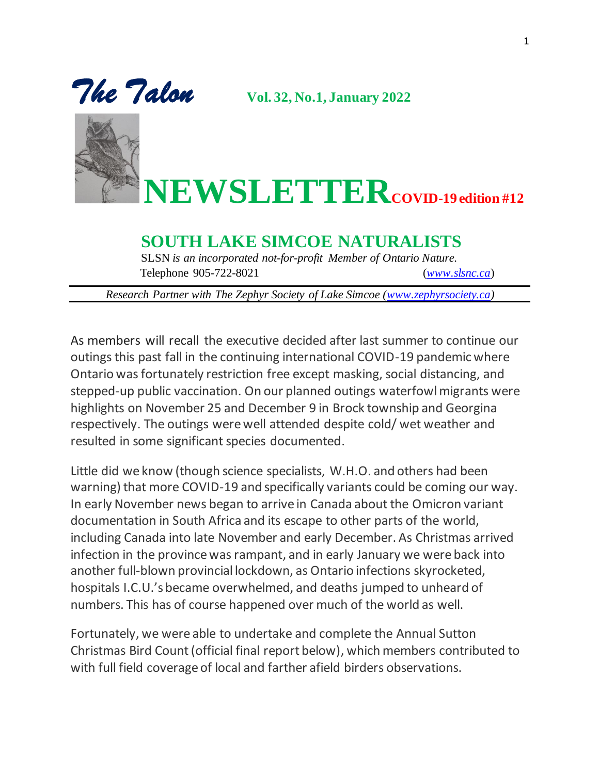



**NEWSLETTERCOVID-19 edition #12**

## **SOUTH LAKE SIMCOE NATURALISTS**

SLSN *is an incorporated not-for-profit Member of Ontario Nature.* Telephone 905-722-8021 (*[www.slsnc.ca](http://www.slsnc.ca/)*)

*Research Partner with The Zephyr Society of Lake Simcoe [\(www.zephyrsociety.ca\)](http://www.zephyrsociety.ca/)* 

As members will recall the executive decided after last summer to continue our outings this past fall in the continuing international COVID-19 pandemic where Ontario was fortunately restriction free except masking, social distancing, and stepped-up public vaccination. On our planned outings waterfowl migrants were highlights on November 25 and December 9 in Brock township and Georgina respectively. The outings were well attended despite cold/ wet weather and resulted in some significant species documented.

Little did we know (though science specialists, W.H.O. and others had been warning) that more COVID-19 and specifically variants could be coming our way. In early November news began to arrive in Canada about the Omicron variant documentation in South Africa and its escape to other parts of the world, including Canada into late November and early December. As Christmas arrived infection in the province was rampant, and in early January we were back into another full-blown provincial lockdown, as Ontario infections skyrocketed, hospitals I.C.U.'s became overwhelmed, and deaths jumped to unheard of numbers. This has of course happened over much of the world as well.

Fortunately, we were able to undertake and complete the Annual Sutton Christmas Bird Count(official final report below), which members contributed to with full field coverage of local and farther afield birders observations.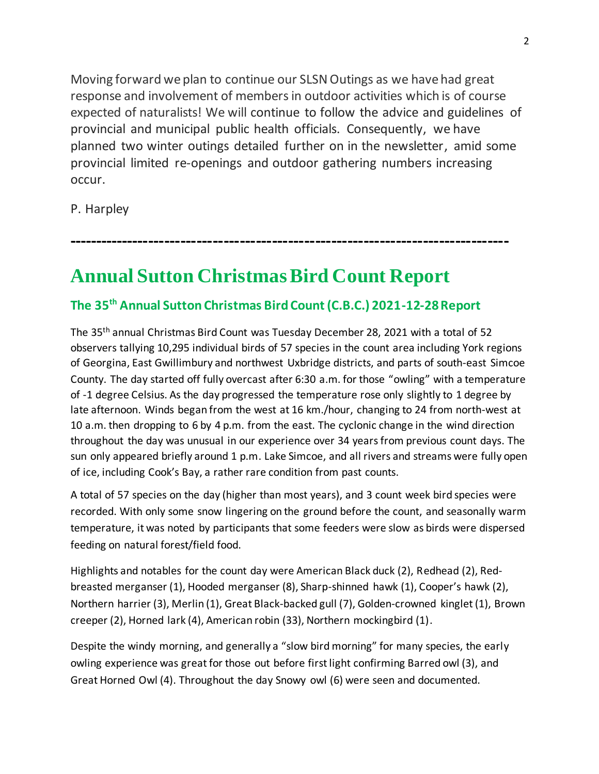Moving forward we plan to continue our SLSN Outings as we have had great response and involvement of members in outdoor activities which is of course expected of naturalists! We will continue to follow the advice and guidelines of provincial and municipal public health officials. Consequently, we have planned two winter outings detailed further on in the newsletter, amid some provincial limited re-openings and outdoor gathering numbers increasing occur.

P. Harpley

**----------------------------------------------------------------------------------**

## **Annual Sutton Christmas Bird Count Report**

## **The 35th Annual Sutton Christmas Bird Count (C.B.C.) 2021-12-28 Report**

The 35th annual Christmas Bird Count was Tuesday December 28, 2021 with a total of 52 observers tallying 10,295 individual birds of 57 species in the count area including York regions of Georgina, East Gwillimbury and northwest Uxbridge districts, and parts of south-east Simcoe County. The day started off fully overcast after 6:30 a.m. for those "owling" with a temperature of -1 degree Celsius. As the day progressed the temperature rose only slightly to 1 degree by late afternoon. Winds began from the west at 16 km./hour, changing to 24 from north-west at 10 a.m. then dropping to 6 by 4 p.m. from the east. The cyclonic change in the wind direction throughout the day was unusual in our experience over 34 years from previous count days. The sun only appeared briefly around 1 p.m. Lake Simcoe, and all rivers and streams were fully open of ice, including Cook's Bay, a rather rare condition from past counts.

A total of 57 species on the day (higher than most years), and 3 count week bird species were recorded. With only some snow lingering on the ground before the count, and seasonally warm temperature, it was noted by participants that some feeders were slow as birds were dispersed feeding on natural forest/field food.

Highlights and notables for the count day were American Black duck (2), Redhead (2), Redbreasted merganser (1), Hooded merganser (8), Sharp-shinned hawk (1), Cooper's hawk (2), Northern harrier (3), Merlin (1), Great Black-backed gull (7), Golden-crowned kinglet (1), Brown creeper (2), Horned lark (4), American robin (33), Northern mockingbird (1).

Despite the windy morning, and generally a "slow bird morning" for many species, the early owling experience was great for those out before first light confirming Barred owl (3), and Great Horned Owl (4). Throughout the day Snowy owl (6) were seen and documented.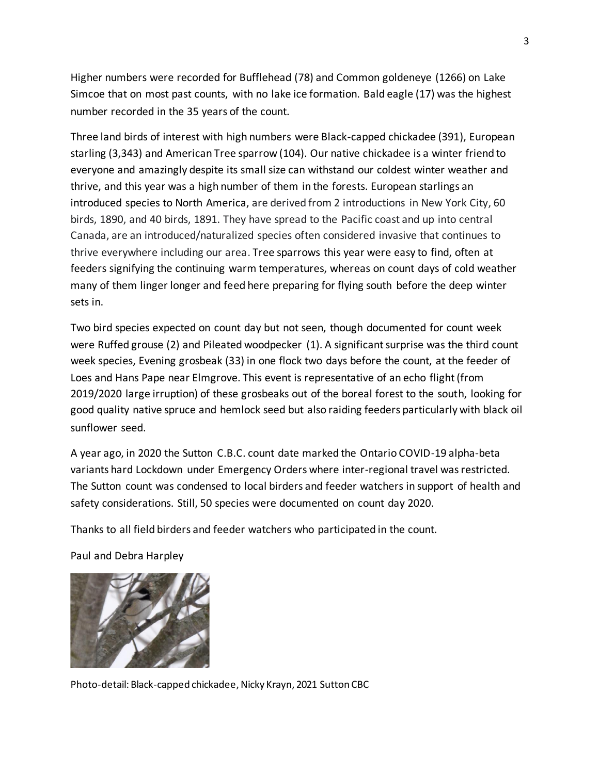Higher numbers were recorded for Bufflehead (78) and Common goldeneye (1266) on Lake Simcoe that on most past counts, with no lake ice formation. Bald eagle (17) was the highest number recorded in the 35 years of the count.

Three land birds of interest with high numbers were Black-capped chickadee (391), European starling (3,343) and American Tree sparrow (104). Our native chickadee is a winter friend to everyone and amazingly despite its small size can withstand our coldest winter weather and thrive, and this year was a high number of them in the forests. European starlings an introduced species to North America, are derived from 2 introductions in New York City, 60 birds, 1890, and 40 birds, 1891. They have spread to the Pacific coast and up into central Canada, are an introduced/naturalized species often considered invasive that continues to thrive everywhere including our area. Tree sparrows this year were easy to find, often at feeders signifying the continuing warm temperatures, whereas on count days of cold weather many of them linger longer and feed here preparing for flying south before the deep winter sets in.

Two bird species expected on count day but not seen, though documented for count week were Ruffed grouse (2) and Pileated woodpecker (1). A significant surprise was the third count week species, Evening grosbeak (33) in one flock two days before the count, at the feeder of Loes and Hans Pape near Elmgrove. This event is representative of an echo flight (from 2019/2020 large irruption) of these grosbeaks out of the boreal forest to the south, looking for good quality native spruce and hemlock seed but also raiding feeders particularly with black oil sunflower seed.

A year ago, in 2020 the Sutton C.B.C. count date marked the Ontario COVID-19 alpha-beta variants hard Lockdown under Emergency Orders where inter-regional travel was restricted. The Sutton count was condensed to local birders and feeder watchers in support of health and safety considerations. Still, 50 species were documented on count day 2020.

Thanks to all field birders and feeder watchers who participated in the count.

Paul and Debra Harpley



Photo-detail: Black-capped chickadee, Nicky Krayn, 2021 Sutton CBC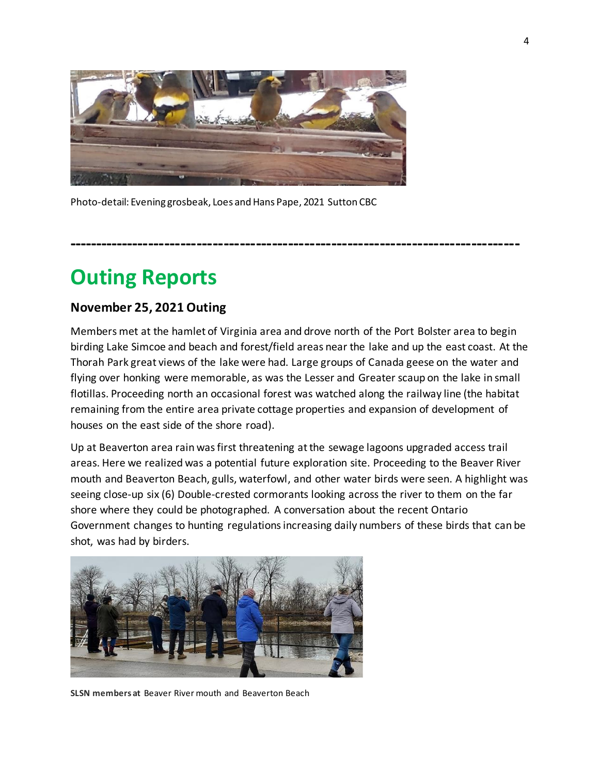

Photo-detail: Evening grosbeak, Loes and Hans Pape, 2021 Sutton CBC

## **------------------------------------------------------------------------------------**

## **Outing Reports**

### **November 25, 2021 Outing**

Members met at the hamlet of Virginia area and drove north of the Port Bolster area to begin birding Lake Simcoe and beach and forest/field areas near the lake and up the east coast. At the Thorah Park great views of the lake were had. Large groups of Canada geese on the water and flying over honking were memorable, as was the Lesser and Greater scaup on the lake in small flotillas. Proceeding north an occasional forest was watched along the railway line (the habitat remaining from the entire area private cottage properties and expansion of development of houses on the east side of the shore road).

Up at Beaverton area rain was first threatening at the sewage lagoons upgraded access trail areas. Here we realized was a potential future exploration site. Proceeding to the Beaver River mouth and Beaverton Beach, gulls, waterfowl, and other water birds were seen. A highlight was seeing close-up six (6) Double-crested cormorants looking across the river to them on the far shore where they could be photographed. A conversation about the recent Ontario Government changes to hunting regulations increasing daily numbers of these birds that can be shot, was had by birders.



**SLSN members at** Beaver River mouth and Beaverton Beach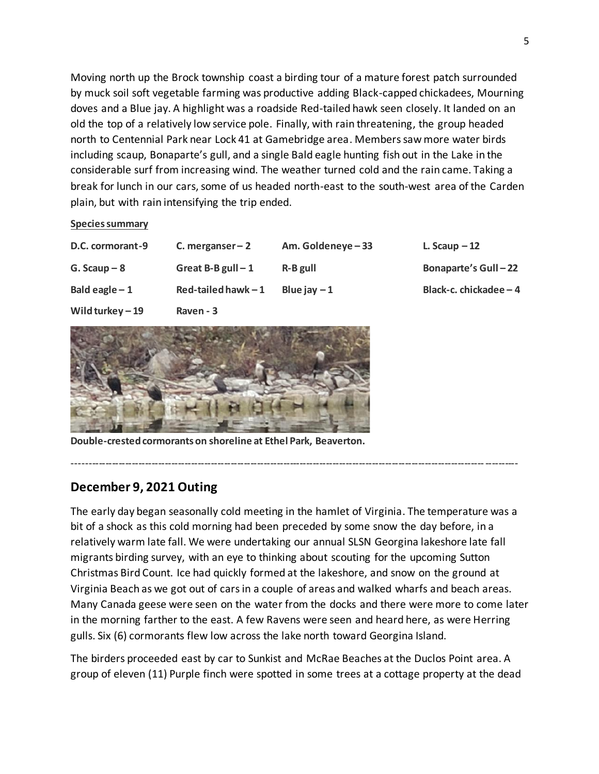Moving north up the Brock township coast a birding tour of a mature forest patch surrounded by muck soil soft vegetable farming was productive adding Black-capped chickadees, Mourning doves and a Blue jay. A highlight was a roadside Red-tailed hawk seen closely. It landed on an old the top of a relatively low service pole. Finally, with rain threatening, the group headed north to Centennial Park near Lock 41 at Gamebridge area. Members saw more water birds including scaup, Bonaparte's gull, and a single Bald eagle hunting fish out in the Lake in the considerable surf from increasing wind. The weather turned cold and the rain came. Taking a break for lunch in our cars, some of us headed north-east to the south-west area of the Carden plain, but with rain intensifying the trip ended.

**Species summary**

| D.C. cormorant-9  | C. merganser $-2$    | Am. Goldeneye-33 | L. Scaup $-12$             |
|-------------------|----------------------|------------------|----------------------------|
| $G.$ Scaup $-8$   | Great B-B gull $-1$  | R-B gull         | <b>Bonaparte's Gull-22</b> |
| Bald eagle $-1$   | Red-tailed hawk $-1$ | Blue jay $-1$    | Black-c. chickadee - 4     |
| Wild turkey $-19$ | Raven - 3            |                  |                            |



**Double-crested cormorants on shoreline at Ethel Park, Beaverton.** 

### **December 9, 2021 Outing**

The early day began seasonally cold meeting in the hamlet of Virginia. The temperature was a bit of a shock as this cold morning had been preceded by some snow the day before, in a relatively warm late fall. We were undertaking our annual SLSN Georgina lakeshore late fall migrants birding survey, with an eye to thinking about scouting for the upcoming Sutton Christmas Bird Count. Ice had quickly formed at the lakeshore, and snow on the ground at Virginia Beach as we got out of cars in a couple of areas and walked wharfs and beach areas. Many Canada geese were seen on the water from the docks and there were more to come later in the morning farther to the east. A few Ravens were seen and heard here, as were Herring gulls. Six (6) cormorants flew low across the lake north toward Georgina Island.

---------------------------------------------------------------------------------------------------------------------------------------

The birders proceeded east by car to Sunkist and McRae Beaches at the Duclos Point area. A group of eleven (11) Purple finch were spotted in some trees at a cottage property at the dead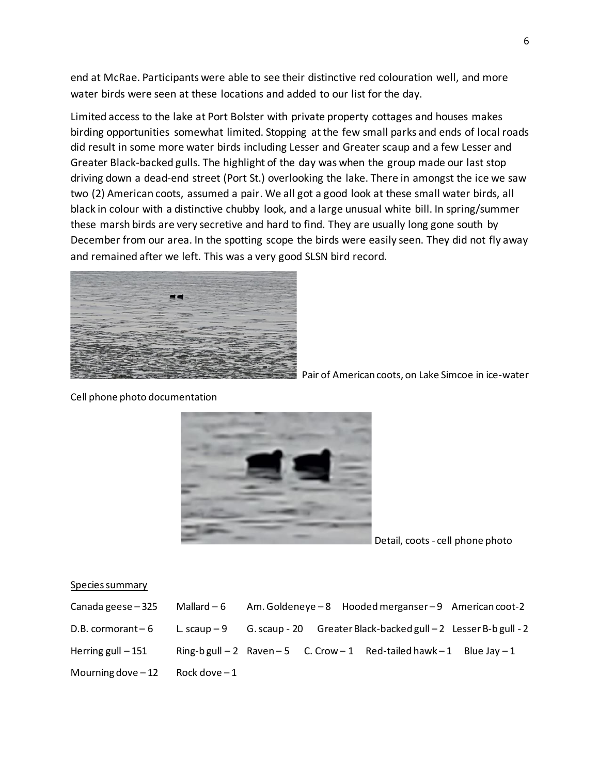end at McRae. Participants were able to see their distinctive red colouration well, and more water birds were seen at these locations and added to our list for the day.

Limited access to the lake at Port Bolster with private property cottages and houses makes birding opportunities somewhat limited. Stopping at the few small parks and ends of local roads did result in some more water birds including Lesser and Greater scaup and a few Lesser and Greater Black-backed gulls. The highlight of the day was when the group made our last stop driving down a dead-end street (Port St.) overlooking the lake. There in amongst the ice we saw two (2) American coots, assumed a pair. We all got a good look at these small water birds, all black in colour with a distinctive chubby look, and a large unusual white bill. In spring/summer these marsh birds are very secretive and hard to find. They are usually long gone south by December from our area. In the spotting scope the birds were easily seen. They did not fly away and remained after we left. This was a very good SLSN bird record.



Pair of American coots, on Lake Simcoe in ice-water



Cell phone photo documentation

Detail, coots - cell phone photo

#### Species summary

| Canada geese – 325    | Mallard $-6$   |  | Am. Goldeneye - 8 Hooded merganser - 9 American coot-2                         |  |
|-----------------------|----------------|--|--------------------------------------------------------------------------------|--|
| $D.B.$ cormorant $-6$ |                |  | L. scaup $-9$ G. scaup - 20 Greater Black-backed gull $-2$ Lesser B-b gull - 2 |  |
| Herring gull $-151$   |                |  | Ring-b gull $-2$ Raven $-5$ C. Crow $-1$ Red-tailed hawk $-1$ Blue Jay $-1$    |  |
| Mourning dove $-12$   | Rock dove $-1$ |  |                                                                                |  |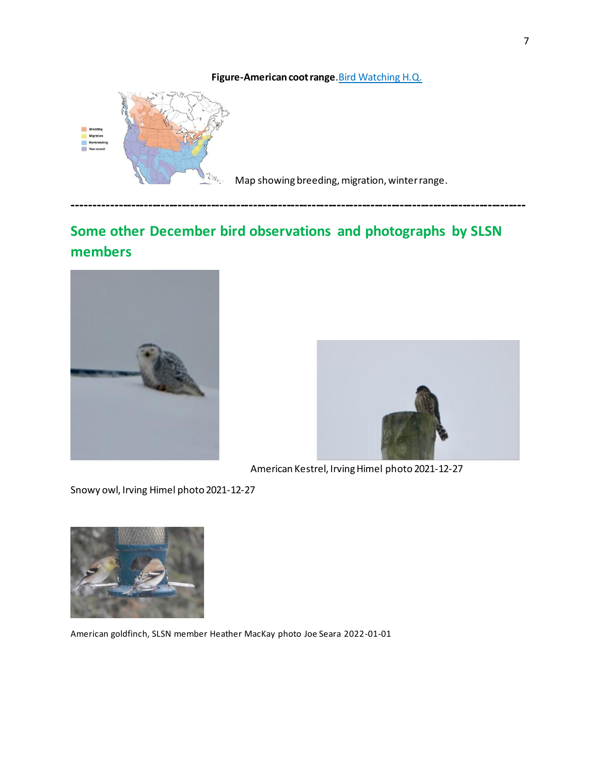### **Figure-American coot range**.Bird Watching H.Q.



Map showing breeding, migration, winter range.

## **Some other December bird observations and photographs by SLSN members**

**------------------------------------------------------------------------------------------------------------**





American Kestrel, Irving Himel photo 2021-12-27

Snowy owl, Irving Himel photo 2021-12-27



American goldfinch, SLSN member Heather MacKay photo Joe Seara 2022-01-01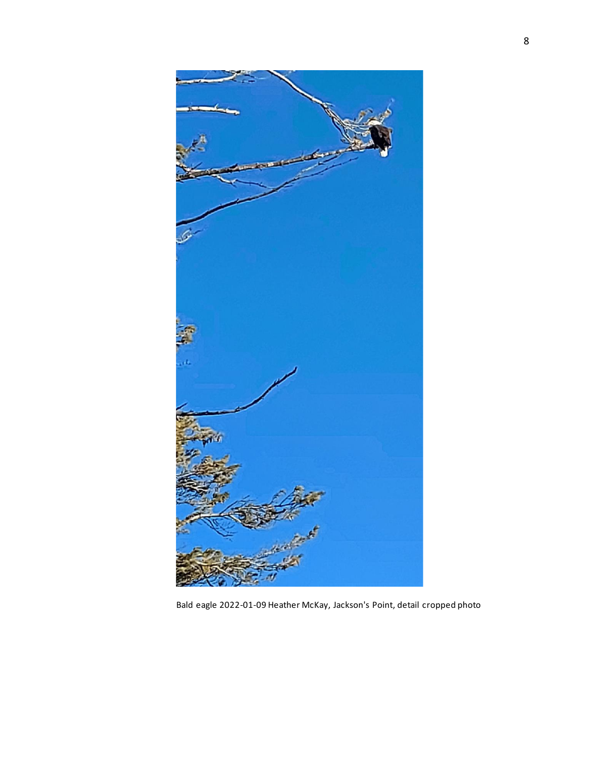

Bald eagle 2022-01-09 Heather McKay, Jackson's Point, detail cropped photo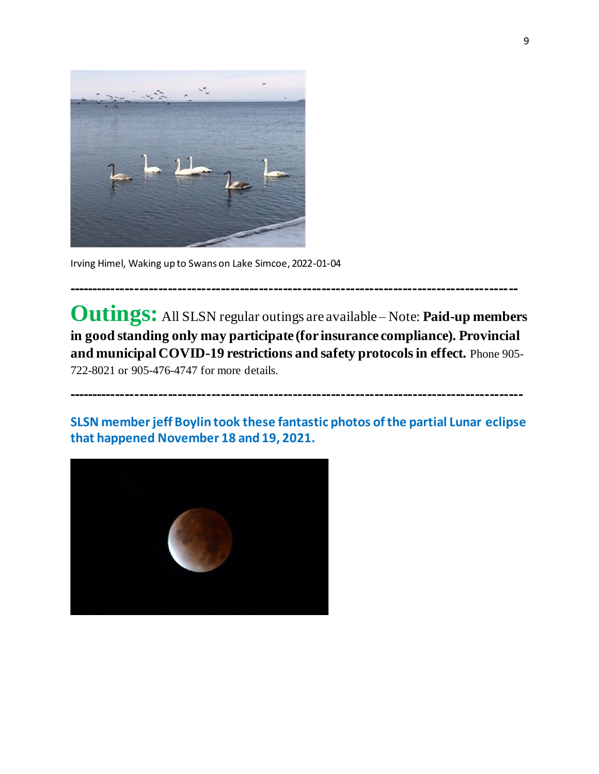

Irving Himel, Waking up to Swans on Lake Simcoe, 2022-01-04

**Outings:** All SLSN regular outings are available – Note: **Paid-up members in good standing only may participate (for insurance compliance). Provincial and municipal COVID-19 restrictions and safety protocols in effect.** Phone 905- 722-8021 or 905-476-4747 for more details.

**----------------------------------------------------------------------------------------------**

**SLSN member jeff Boylin took these fantastic photos of the partial Lunar eclipse that happened November 18 and 19, 2021.**

**-----------------------------------------------------------------------------------------------**

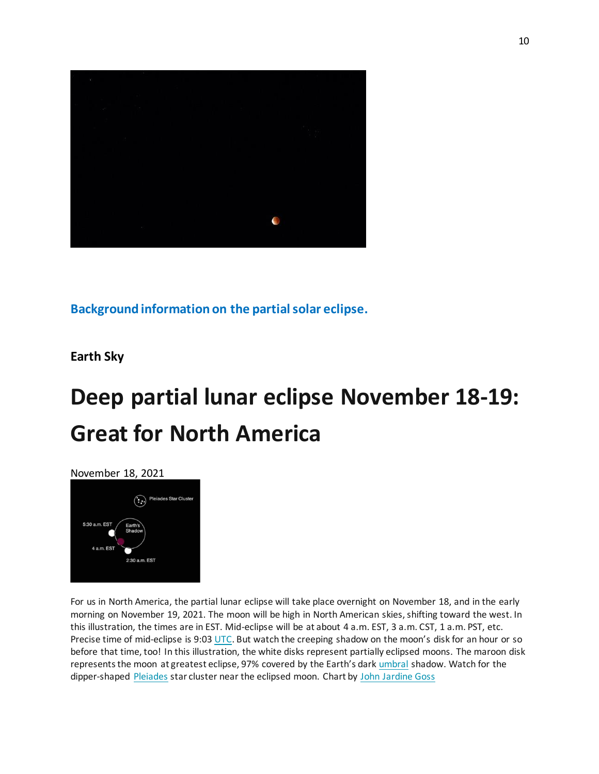

**Background information on the partial solar eclipse.** 

**Earth Sky**

# **Deep partial lunar eclipse November 18-19: Great for North America**



For us in North America, the partial lunar eclipse will take place overnight on November 18, and in the early morning on November 19, 2021. The moon will be high in North American skies, shifting toward the west. In this illustration, the times are in EST. Mid-eclipse will be at about 4 a.m. EST, 3 a.m. CST, 1 a.m. PST, etc. Precise time of mid-eclipse is 9:03 [UTC](https://earthsky.org/astronomy-essentials/universal-time). But watch the creeping shadow on the moon's disk for an hour or so before that time, too! In this illustration, the white disks represent partially eclipsed moons. The maroon disk represents the moon at greatest eclipse, 97% covered by the Earth's dark [umbral](https://en.wikipedia.org/wiki/Umbra,_penumbra_and_antumbra) shadow. Watch for the dipper-shaped [Pleiades](https://earthsky.org/favorite-star-patterns/pleiades-star-cluster-enjoys-worldwide-renown/) star cluster near the eclipsed moon. Chart by [John Jardine Goss](https://earthsky.org/author/johngoss/)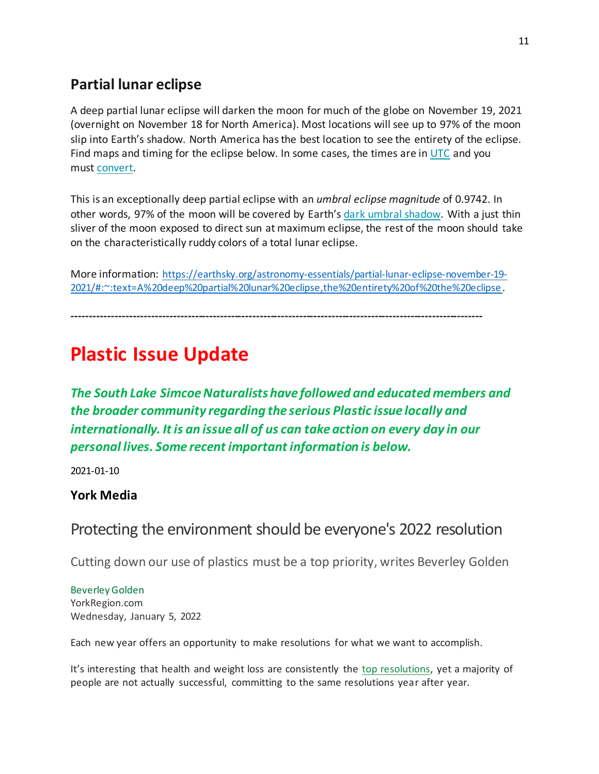## **Partial lunar eclipse**

A deep partial lunar eclipse will darken the moon for much of the globe on November 19, 2021 (overnight on November 18 for North America). Most locations will see up to 97% of the moon slip into Earth's shadow. North America has the best location to see the entirety of the eclipse. Find maps and timing for the eclipse below. In some cases, the times are in [UTC](https://earthsky.org/astronomy-essentials/universal-time/) and you must [convert.](https://earthsky.org/astronomy-essentials/universal-time)

This is an exceptionally deep partial eclipse with an *umbral eclipse magnitude* of 0.9742. In other words, 97% of the moon will be covered by Earth's [dark umbral shadow.](https://www.nasa.gov/audience/forstudents/k-4/stories/umbra-and-penumbra) With a just thin sliver of the moon exposed to direct sun at maximum eclipse, the rest of the moon should take on the characteristically ruddy colors of a total lunar eclipse.

More information: [https://earthsky.org/astronomy-essentials/partial-lunar-eclipse-november-19-](https://earthsky.org/astronomy-essentials/partial-lunar-eclipse-november-19-2021/#:~:text=A%20deep%20partial%20lunar%20eclipse,the%20entirety%20of%20the%20eclipse) [2021/#:~:text=A%20deep%20partial%20lunar%20eclipse,the%20entirety%20of%20the%20eclipse](https://earthsky.org/astronomy-essentials/partial-lunar-eclipse-november-19-2021/#:~:text=A%20deep%20partial%20lunar%20eclipse,the%20entirety%20of%20the%20eclipse).

**------------------------------------------------------------------------------------------------------------------**

## **Plastic Issue Update**

*The South Lake Simcoe Naturalists have followed and educated members and the broader community regarding the serious Plastic issue locally and internationally. It is an issue all of us can take action on every day in our personal lives. Some recent important information is below.*

2021-01-10

### **York Media**

## Protecting the environment should be everyone's 2022 resolution

Cutting down our use of plastics must be a top priority, writes Beverley Golden

Beverley Golden YorkRegion.com Wednesday, January 5, 2022

Each new year offers an opportunity to make resolutions for what we want to accomplish.

It's interesting that health and weight loss are consistently the [top resolutions,](https://www.beverleygolden.com/new-years-resolutions-why-we-do-what-we-do/) yet a majority of people are not actually successful, committing to the same resolutions year after year.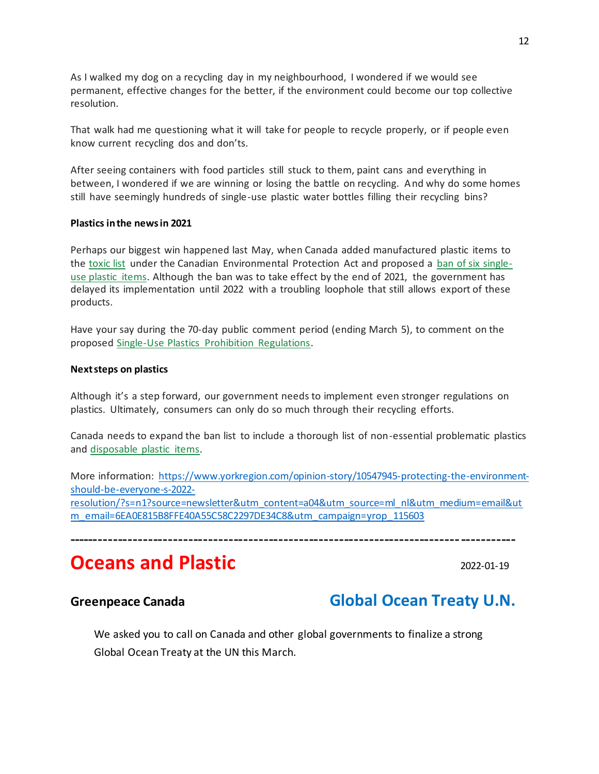As I walked my dog on a recycling day in my neighbourhood, I wondered if we would see permanent, effective changes for the better, if the environment could become our top collective resolution.

That walk had me questioning what it will take for people to recycle properly, or if people even know current recycling dos and don'ts.

After seeing containers with food particles still stuck to them, paint cans and everything in between, I wondered if we are winning or losing the battle on recycling. And why do some homes still have seemingly hundreds of single-use plastic water bottles filling their recycling bins?

#### **Plastics in the news in 2021**

Perhaps our biggest win happened last May, when Canada added manufactured plastic items to the [toxic list](https://www.greenpeace.org/canada/en/press-release/48275/plastic-listed-as-toxic-under-cepa-a-bold-move-against-the-plastic-industrys-pressure/) under the Canadian Environmental Protection Act and proposed a [ban of six single](https://globalnews.ca/news/8466123/liberals-regulations-single-use-plastics-ban-canada/?fbclid=IwAR0chCfKbC0Xs_z4d1czFLZn1j0w1mISpv7MRVe0fKAmS2ebeBnyL9FDDqw)[use plastic items.](https://globalnews.ca/news/8466123/liberals-regulations-single-use-plastics-ban-canada/?fbclid=IwAR0chCfKbC0Xs_z4d1czFLZn1j0w1mISpv7MRVe0fKAmS2ebeBnyL9FDDqw) Although the ban was to take effect by the end of 2021, the government has delayed its implementation until 2022 with a troubling loophole that still allows export of these products.

Have your say during the 70-day public comment period (ending March 5), to comment on the proposed [Single-Use Plastics Prohibition Regulations.](https://www.gazette.gc.ca/rp-pr/p1/2021/2021-12-25/html/reg2-eng.html)

#### **Next steps on plastics**

Although it's a step forward, our government needs to implement even stronger regulations on plastics. Ultimately, consumers can only do so much through their recycling efforts.

Canada needs to expand the ban list to include a thorough list of non-essential problematic plastics and [disposable plastic items.](https://www.canadiangeographic.ca/article/plastic-pandemic-results-covid-19-ppe-pollution)

More information: [https://www.yorkregion.com/opinion-story/10547945-protecting-the-environment](https://www.yorkregion.com/opinion-story/10547945-protecting-the-environment-should-be-everyone-s-2022-resolution/?s=n1?source=newsletter&utm_content=a04&utm_source=ml_nl&utm_medium=email&utm_email=6EA0E815B8FFE40A55C58C2297DE34C8&utm_campaign=yrop_115603)[should-be-everyone-s-2022](https://www.yorkregion.com/opinion-story/10547945-protecting-the-environment-should-be-everyone-s-2022-resolution/?s=n1?source=newsletter&utm_content=a04&utm_source=ml_nl&utm_medium=email&utm_email=6EA0E815B8FFE40A55C58C2297DE34C8&utm_campaign=yrop_115603) [resolution/?s=n1?source=newsletter&utm\\_content=a04&utm\\_source=ml\\_nl&utm\\_medium=email&ut](https://www.yorkregion.com/opinion-story/10547945-protecting-the-environment-should-be-everyone-s-2022-resolution/?s=n1?source=newsletter&utm_content=a04&utm_source=ml_nl&utm_medium=email&utm_email=6EA0E815B8FFE40A55C58C2297DE34C8&utm_campaign=yrop_115603) [m\\_email=6EA0E815B8FFE40A55C58C2297DE34C8&utm\\_campaign=yrop\\_115603](https://www.yorkregion.com/opinion-story/10547945-protecting-the-environment-should-be-everyone-s-2022-resolution/?s=n1?source=newsletter&utm_content=a04&utm_source=ml_nl&utm_medium=email&utm_email=6EA0E815B8FFE40A55C58C2297DE34C8&utm_campaign=yrop_115603)

**-----------------------------------------------------------------------------------------**

## **Oceans and Plastic COLECTION 2022-01-19**

## **Greenpeace Canada Global Ocean Treaty U.N.**

We asked you to call on Canada and other global governments to finalize a strong Global Ocean Treaty at the UN this March.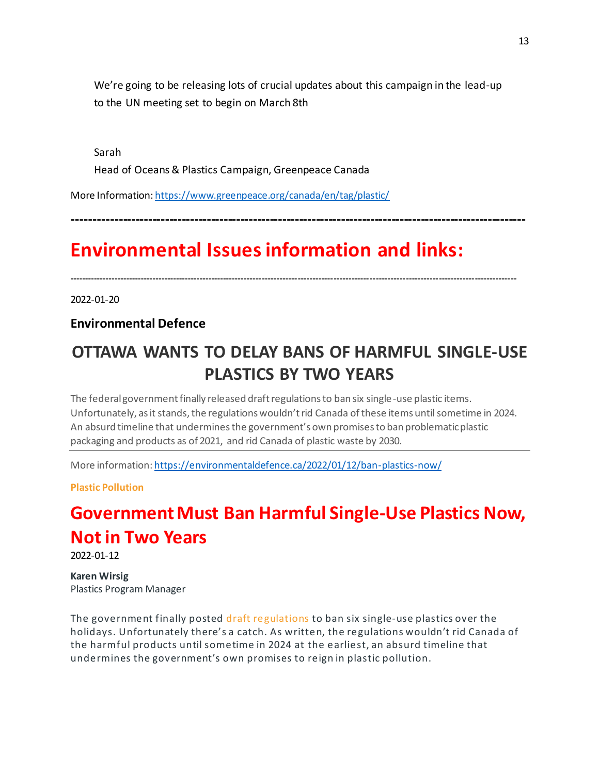We're going to be releasing lots of crucial updates about this campaign in the lead-up to the UN meeting set to begin on March 8th

Sarah Head of Oceans & Plastics Campaign, Greenpeace Canada

More Information[: https://www.greenpeace.org/canada/en/tag/plastic/](https://www.greenpeace.org/canada/en/tag/plastic/)

**------------------------------------------------------------------------------------------------------------**

## **Environmental Issues information and links:**

**------------------------------------------------------------------------------------------------------------------------------------------------------**

2022-01-20

**Environmental Defence**

## **OTTAWA WANTS TO DELAY BANS OF HARMFUL SINGLE-USE PLASTICS BY TWO YEARS**

The federal government finally released draft regulations to ban six single-use plastic items. Unfortunately, as it stands, the regulations wouldn't rid Canada of these items until sometime in 2024. An absurd timeline that undermines the government's own promises to ban problematic plastic packaging and products as of 2021, and rid Canada of plastic waste by 2030.

More information[: https://environmentaldefence.ca/2022/01/12/ban-plastics-now/](https://environmentaldefence.ca/2022/01/12/ban-plastics-now/)

**[Plastic Pollution](https://environmentaldefence.ca/blog/?blog=1331)**

## **Government Must Ban Harmful Single-Use Plastics Now, Not i[n Two Years](https://environmentaldefence.ca/blog/?author=Karen%20Wirsig)**

2022-01-12

**[Karen Wirsig](https://environmentaldefence.ca/blog/?author=Karen%20Wirsig)** [Plastics Program Manager](https://environmentaldefence.ca/blog/?author=Karen%20Wirsig)

The government finally posted [draft regulations](https://www.gazette.gc.ca/rp-pr/p1/2021/2021-12-25/html/reg2-eng.html) to ban six single-use plastics over the holidays. Unfortunately there's a catch. As written, the regulations wouldn't rid Canada of the harmful products until sometime in 2024 at the earliest, an absurd timeline that undermines the government's own promises to reign in plastic pollution.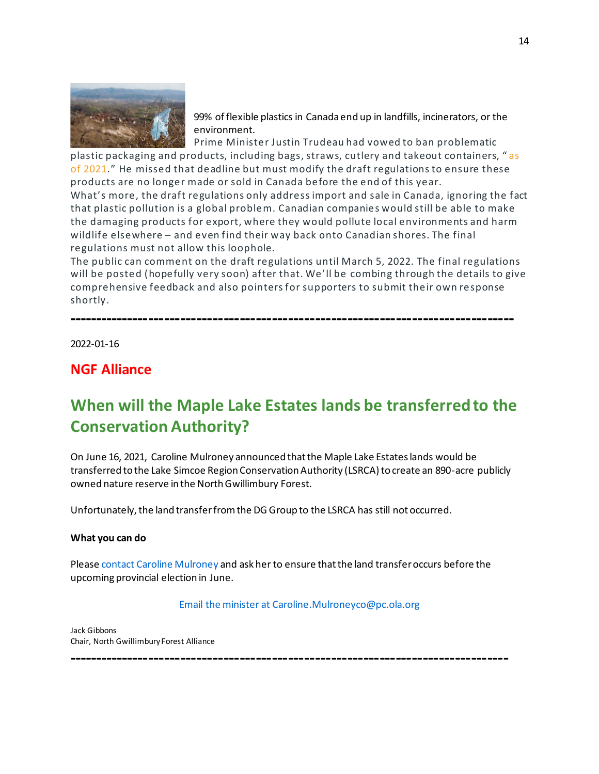

99% of flexible plastics in Canada end up in landfills, incinerators, or the environment.

Prime Minister Justin Trudeau had vowed to ban problematic plastic packaging and products, including bags, straws, cutlery and takeout containers, " [as](https://www.cbc.ca/news/politics/plastics-ban-trudeau-mckenna-1.5168828)  [of 2021](https://www.cbc.ca/news/politics/plastics-ban-trudeau-mckenna-1.5168828)." He missed that deadline but must modify the draft regulations to ensure these products are no longer made or sold in Canada before the end of this year.

What's more, the draft regulations only address import and sale in Canada, ignoring the fact that plastic pollution is a global problem. Canadian companies would still be able to make the damaging products for export, where they would pollute local environments and harm wildlife elsewhere – and even find their way back onto Canadian shores. The final regulations must not allow this loophole.

The public can comment on the draft regulations until March 5, 2022. The final regulations will be posted (hopefully very soon) after that. We'll be combing through the details to give comprehensive feedback and also pointers for supporters to submit their own response shortly.

**-----------------------------------------------------------------------------------**

2022-01-16

### **NGF Alliance**

## **When will the Maple Lake Estates lands be transferred to the Conservation Authority?**

On June 16, 2021, Caroline Mulroney announced that the Maple Lake Estates lands would be transferred to the Lake Simcoe Region Conservation Authority (LSRCA) to create an 890-acre publicly owned nature reserve in the North Gwillimbury Forest.

Unfortunately, the land transfer from the DG Group to the LSRCA has still not occurred.

#### **What you can do**

Pleas[e contact Caroline Mulroney](mailto:Caroline.Mulroneyco@pc.ola.org) and ask her to ensure that the land transfer occurs before the upcoming provincial election in June.

#### [Email the minister at Caroline.Mulroneyco@pc.ola.org](mailto:Caroline.Mulroneyco@pc.ola.org)

**----------------------------------------------------------------------------------**

Jack Gibbons Chair, North Gwillimbury Forest Alliance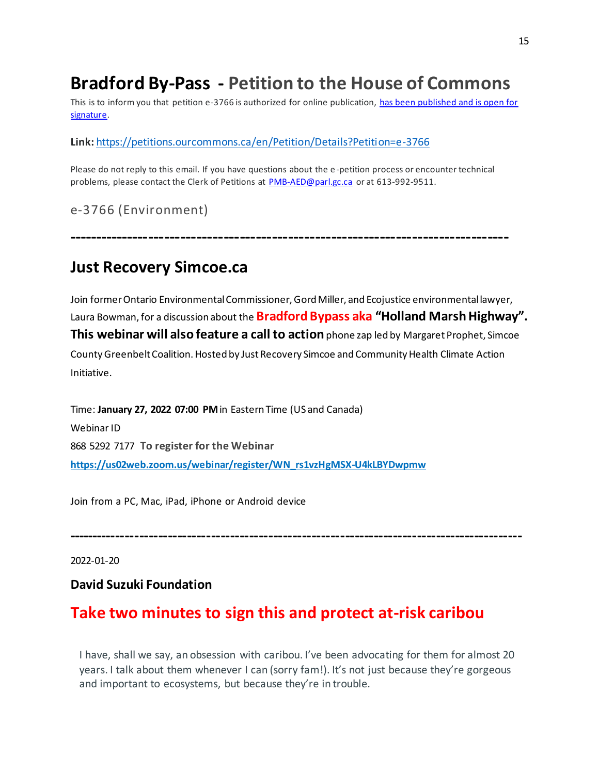## **Bradford By-Pass - Petition to the House of Commons**

This is to inform you that petition e-3766 is authorized for online publication, has been published and is open for [signature.](https://petitions.ourcommons.ca/en/Petition/Details?Petition=e-3766) 

### **Link:** <https://petitions.ourcommons.ca/en/Petition/Details?Petition=e-3766>

Please do not reply to this email. If you have questions about the e-petition process or encounter technical problems, please contact the Clerk of Petitions at [PMB-AED@parl.gc.ca](mailto:PMB-AED@parl.gc.ca) or at 613-992-9511.

e-3766 (Environment)

## **Just Recovery Simcoe.ca**

Join former Ontario Environmental Commissioner, Gord Miller, and Ecojustice environmental lawyer, Laura Bowman, for a discussion about the **Bradford Bypass aka "Holland Marsh Highway". This webinar will also feature a call to action** phone zap led by Margaret Prophet, Simcoe County Greenbelt Coalition. Hosted by Just Recovery Simcoe and Community Health Climate Action Initiative.

**----------------------------------------------------------------------------------**

Time: **January 27, 2022 07:00 PM**in Eastern Time (US and Canada) Webinar ID 868 5292 7177 **To register for the Webinar [https://us02web.zoom.us/webinar/register/WN\\_rs1vzHgMSX-U4kLBYDwpmw](https://us02web.zoom.us/webinar/register/WN_rs1vzHgMSX-U4kLBYDwpmw)**

Join from a PC, Mac, iPad, iPhone or Android device

**-----------------------------------------------------------------------------------------------**

2022-01-20

### **David Suzuki Foundation**

## **Take two minutes to sign this and protect at-risk caribou**

I have, shall we say, an obsession with caribou. I've been advocating for them for almost 20 years. I talk about them whenever I can (sorry fam!). It's not just because they're gorgeous and important to ecosystems, but because they're in trouble.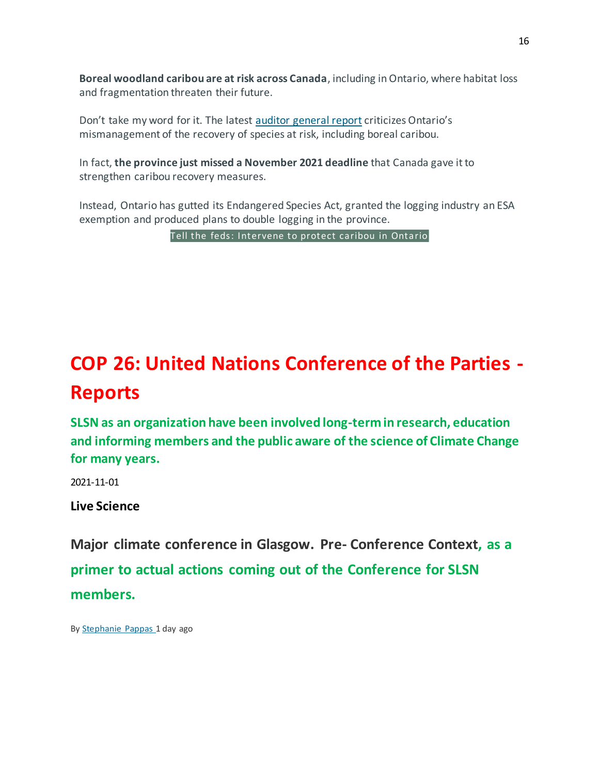**Boreal woodland caribou are at risk across Canada**, including in Ontario, where habitat loss and fragmentation threaten their future.

Don't take my word for it. The latest [auditor general report](mhtml:file://C:/Users/paul/AppData/Local/Microsoft/Windows/INetCache/Content.Outlook/98EF0CTX/email.mht!https://go.davidsuzuki.org/MTg4LVZEVS0zNjAAAAGCFqnFT4qxKDuc3P3Rp7VifTntZItCHXUri2gOc8EBvRFk45rRALgY1GA5Hz74N5dfvSDg0UE=) criticizes Ontario's mismanagement of the recovery of species at risk, including boreal caribou.

In fact, **the province just missed a November 2021 deadline** that Canada gave it to strengthen caribou recovery measures.

Instead, Ontario has gutted its Endangered Species Act, granted the logging industry an ESA exemption and produced plans to double logging in the province.

[Tell the feds: Intervene to protect caribou in Ontario](mhtml:file://C:/Users/paul/AppData/Local/Microsoft/Windows/INetCache/Content.Outlook/98EF0CTX/email.mht!https://go.davidsuzuki.org/MTg4LVZEVS0zNjAAAAGCFqnFT4cvTiJwKMjlJXocX7mTqnQiVDSYRWV60srmUSV79R8_vUUxGLx6vcWwDATgv6A2KJI=)

## **COP 26: United Nations Conference of the Parties - Reports**

**SLSN as an organization have been involved long-term in research, education and informing members and the public aware of the science of Climate Change for many years.**

2021-11-01

**Live Science**

**Major climate conference in Glasgow. Pre- Conference Context, as a primer to actual actions coming out of the Conference for SLSN members.**

By [Stephanie](https://www.livescience.com/author/stephanie-pappas) Pappas 1 day ago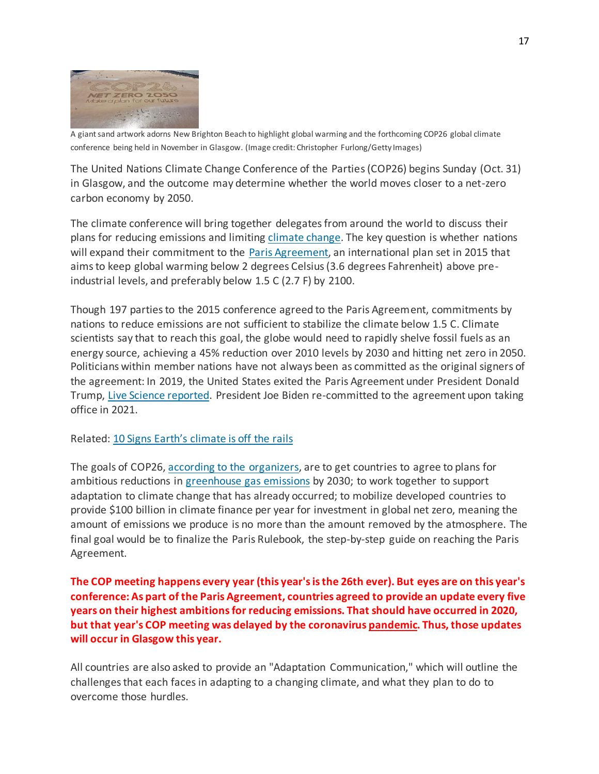

A giant sand artwork adorns New Brighton Beach to highlight global warming and the forthcoming COP26 global climate conference being held in November in Glasgow. (Image credit: Christopher Furlong/Getty Images)

The United Nations Climate Change Conference of the Parties (COP26) begins Sunday (Oct. 31) in Glasgow, and the outcome may determine whether the world moves closer to a net-zero carbon economy by 2050.

The climate conference will bring together delegates from around the world to discuss their plans for reducing emissions and limiting [climate](https://www.livescience.com/climate-change.html) change. The key question is whether nations will expand their commitment to the Paris [Agreement,](https://www.livescience.com/paris-agreement) an international plan set in 2015 that aims to keep global warming below 2 degrees Celsius (3.6 degrees Fahrenheit) above preindustrial levels, and preferably below 1.5 C (2.7 F) by 2100.

Though 197 parties to the 2015 conference agreed to the Paris Agreement, commitments by nations to reduce emissions are not sufficient to stabilize the climate below 1.5 C. Climate scientists say that to reach this goal, the globe would need to rapidly shelve fossil fuels as an energy source, achieving a 45% reduction over 2010 levels by 2030 and hitting net zero in 2050. Politicians within member nations have not always been as committed as the original signers of the agreement: In 2019, the United States exited the Paris Agreement under President Donald Trump, Live Science [reported.](https://www.livescience.com/united-states-exits-paris-climate-agreement.html) President Joe Biden re-committed to the agreement upon taking office in 2021.

Related: 10 Signs Earth's [climate](https://www.livescience.com/10-signs-of-climate-change-in-2019.html) is off the rails

The goals of COP26, according to the [organizers,](https://ukcop26.org/wp-content/uploads/2021/07/COP26-Explained.pdf) are to get countries to agree to plans for ambitious reductions in [greenhouse](https://www.livescience.com/37821-greenhouse-gases.html) gas emissions by 2030; to work together to support adaptation to climate change that has already occurred; to mobilize developed countries to provide \$100 billion in climate finance per year for investment in global net zero, meaning the amount of emissions we produce is no more than the amount removed by the atmosphere. The final goal would be to finalize the Paris Rulebook, the step-by-step guide on reaching the Paris Agreement.

**The COP meeting happens every year (this year's is the 26th ever). But eyes are on this year's conference: As part of the Paris Agreement, countries agreed to provide an update every five years on their highest ambitions for reducing emissions. That should have occurred in 2020, but that year's COP meeting was delayed by the coronavirus [pandemic](https://www.livescience.com/pandemic.html). Thus, those updates will occur in Glasgow this year.**

All countries are also asked to provide an "Adaptation Communication," which will outline the challenges that each faces in adapting to a changing climate, and what they plan to do to overcome those hurdles.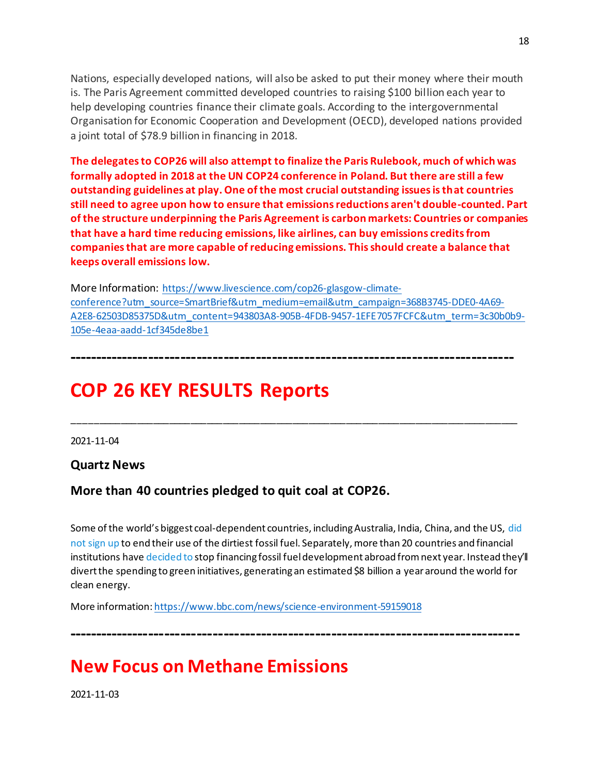Nations, especially developed nations, will also be asked to put their money where their mouth is. The Paris Agreement committed developed countries to raising \$100 billion each year to help developing countries finance their climate goals. According to the intergovernmental Organisation for Economic Cooperation and Development (OECD), developed nations provided a joint total of \$78.9 billion in financing in 2018.

**The delegates to COP26 will also attempt to finalize the Paris Rulebook, much of which was formally adopted in 2018 at the UN COP24 conference in Poland. But there are still a few outstanding guidelines at play. One of the most crucial outstanding issues is that countries still need to agree upon how to ensure that emissions reductions aren't double-counted. Part of the structure underpinning the Paris Agreement is carbon markets: Countries or companies that have a hard time reducing emissions, like airlines, can buy emissions credits from companies that are more capable of reducing emissions. This should create a balance that keeps overall emissions low.**

More Information: [https://www.livescience.com/cop26-glasgow-climate](https://www.livescience.com/cop26-glasgow-climate-conference?utm_source=SmartBrief&utm_medium=email&utm_campaign=368B3745-DDE0-4A69-A2E8-62503D85375D&utm_content=943803A8-905B-4FDB-9457-1EFE7057FCFC&utm_term=3c30b0b9-105e-4eaa-aadd-1cf345de8be1)[conference?utm\\_source=SmartBrief&utm\\_medium=email&utm\\_campaign=368B3745-DDE0-4A69-](https://www.livescience.com/cop26-glasgow-climate-conference?utm_source=SmartBrief&utm_medium=email&utm_campaign=368B3745-DDE0-4A69-A2E8-62503D85375D&utm_content=943803A8-905B-4FDB-9457-1EFE7057FCFC&utm_term=3c30b0b9-105e-4eaa-aadd-1cf345de8be1) [A2E8-62503D85375D&utm\\_content=943803A8-905B-4FDB-9457-1EFE7057FCFC&utm\\_term=3c30b0b9-](https://www.livescience.com/cop26-glasgow-climate-conference?utm_source=SmartBrief&utm_medium=email&utm_campaign=368B3745-DDE0-4A69-A2E8-62503D85375D&utm_content=943803A8-905B-4FDB-9457-1EFE7057FCFC&utm_term=3c30b0b9-105e-4eaa-aadd-1cf345de8be1) [105e-4eaa-aadd-1cf345de8be1](https://www.livescience.com/cop26-glasgow-climate-conference?utm_source=SmartBrief&utm_medium=email&utm_campaign=368B3745-DDE0-4A69-A2E8-62503D85375D&utm_content=943803A8-905B-4FDB-9457-1EFE7057FCFC&utm_term=3c30b0b9-105e-4eaa-aadd-1cf345de8be1)

**-----------------------------------------------------------------------------------**

\_\_\_\_\_\_\_\_\_\_\_\_\_\_\_\_\_\_\_\_\_\_\_\_\_\_\_\_\_\_\_\_\_\_\_\_\_\_\_\_\_\_\_\_\_\_\_\_\_\_\_\_\_\_\_\_\_\_\_\_\_\_\_\_\_\_\_\_\_\_\_\_\_\_\_\_\_\_\_\_\_\_\_

## **COP 26 KEY RESULTS Reports**

2021-11-04

**Quartz News**

### **More than 40 countries pledged to quit coal at COP26.**

Some of the world's biggest coal-dependent countries, including Australia, India, China, and the US[, did](https://email-tracking.qz.com/ss/c/8aTaQWsZf83r7p52x9VHCG83NGORjGbrHam6cAQiveNN0Nm48Pll7lXXJW9jBuGPD_7RATw12_6E5GtBZnHtnA/3gq/m7Ng9iA7S0Gs7n3RVKVqJQ/h4/y_0-UkfUyPwpJxX3dyrgpuHxm5Pw6IDil12CStm82Lg)  [not sign up](https://email-tracking.qz.com/ss/c/8aTaQWsZf83r7p52x9VHCG83NGORjGbrHam6cAQiveNN0Nm48Pll7lXXJW9jBuGPD_7RATw12_6E5GtBZnHtnA/3gq/m7Ng9iA7S0Gs7n3RVKVqJQ/h4/y_0-UkfUyPwpJxX3dyrgpuHxm5Pw6IDil12CStm82Lg) to end their use of the dirtiest fossil fuel. Separately, more than 20 countries and financial institutions hav[e decided to](https://email-tracking.qz.com/ss/c/8aTaQWsZf83r7p52x9VHCO-4dZSz2af9sbk8NMH7sITHp7PslvahKquFnNmOVpQJlyjQU28jU0o2W5sCJFQ1RtLFyMZuSIomns7txYUfrQ7rjN1fQil5GxrSawd8eM8TsD6FTgTCXLxD5AtIzKBSc7mTClXP1CcRCJoh2okWM05hjXki7W46MhzgTXhwgnMc/3gq/m7Ng9iA7S0Gs7n3RVKVqJQ/h5/3HWcnlsZDG31qhY-K_hh2y8UVPlGJKB6MuZQ4KxdZsc) stop financing fossil fuel development abroad from next year. Instead they'll divert the spending to green initiatives, generating an estimated \$8 billion a year around the world for clean energy.

More information[: https://www.bbc.com/news/science-environment-59159018](https://www.bbc.com/news/science-environment-59159018)

**------------------------------------------------------------------------------------**

## **New Focus on Methane Emissions**

2021-11-03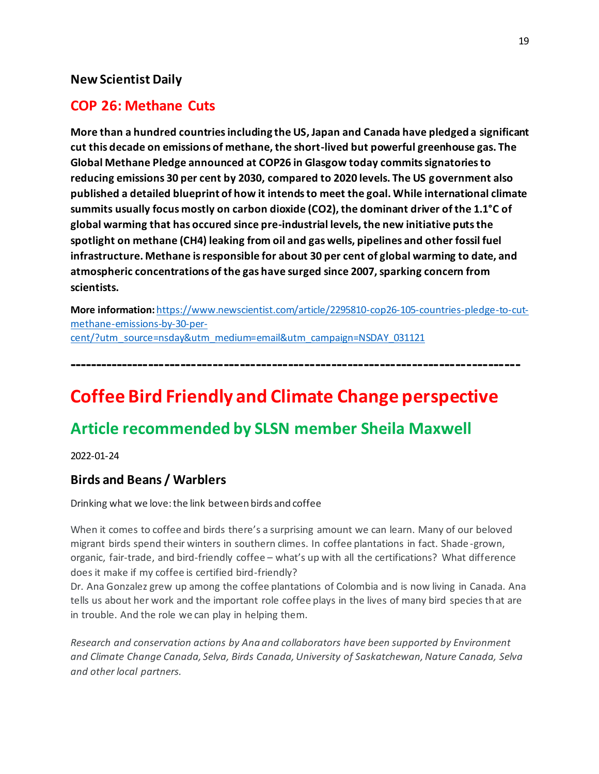### **New Scientist Daily**

### **COP 26: Methane Cuts**

**More than a hundred countries including the US, Japan and Canada have pledged a significant cut this decade on emissions of methane, the short-lived but powerful greenhouse gas. The Global Methane Pledge announced at COP26 in Glasgow today commits signatories to reducing emissions 30 per cent by 2030, compared to 2020 levels. The US government also published a detailed blueprint of how it intends to meet the goal. While international climate summits usually focus mostly on carbon dioxide (CO2), the dominant driver of the 1.1°C of global warming that has occured since pre-industrial levels, the new initiative puts the spotlight on methane (CH4) leaking from oil and gas wells, pipelines and other fossil fuel infrastructure. Methane is responsible for about 30 per cent of global warming to date, and atmospheric concentrations of the gas have surged since 2007, sparking concern from scientists.**

**More information:** [https://www.newscientist.com/article/2295810-cop26-105-countries-pledge-to-cut](https://www.newscientist.com/article/2295810-cop26-105-countries-pledge-to-cut-methane-emissions-by-30-per-cent/?utm_source=nsday&utm_medium=email&utm_campaign=NSDAY_031121)[methane-emissions-by-30-per](https://www.newscientist.com/article/2295810-cop26-105-countries-pledge-to-cut-methane-emissions-by-30-per-cent/?utm_source=nsday&utm_medium=email&utm_campaign=NSDAY_031121)[cent/?utm\\_source=nsday&utm\\_medium=email&utm\\_campaign=NSDAY\\_031121](https://www.newscientist.com/article/2295810-cop26-105-countries-pledge-to-cut-methane-emissions-by-30-per-cent/?utm_source=nsday&utm_medium=email&utm_campaign=NSDAY_031121)

**------------------------------------------------------------------------------------**

## **Coffee Bird Friendly and Climate Change perspective**

## **Article recommended by SLSN member Sheila Maxwell**

2022-01-24

### **Birds and Beans / Warblers**

Drinking what we love: the link between birds and coffee

When it comes to coffee and birds there's a surprising amount we can learn. Many of our beloved migrant birds spend their winters in southern climes. In coffee plantations in fact. Shade -grown, organic, fair-trade, and bird-friendly coffee – what's up with all the certifications? What difference does it make if my coffee is certified bird-friendly?

Dr. Ana Gonzalez grew up among the coffee plantations of Colombia and is now living in Canada. Ana tells us about her work and the important role coffee plays in the lives of many bird species that are in trouble. And the role we can play in helping them.

*Research and conservation actions by Ana and collaborators have been supported by Environment and Climate Change Canada, Selva, Birds Canada, University of Saskatchewan, Nature Canada, Selva and other local partners.*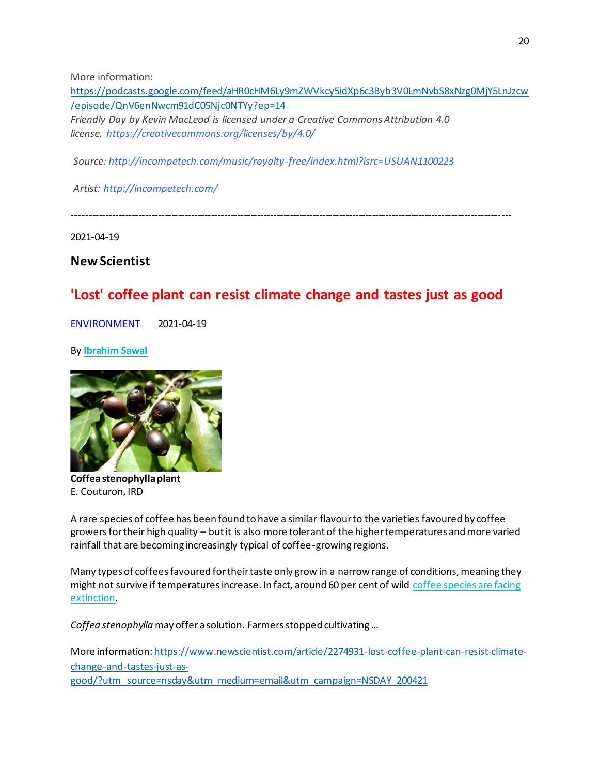More information:

[https://podcasts.google.com/feed/aHR0cHM6Ly9mZWVkcy5idXp6c3Byb3V0LmNvbS8xNzg0MjY5LnJzcw](https://podcasts.google.com/feed/aHR0cHM6Ly9mZWVkcy5idXp6c3Byb3V0LmNvbS8xNzg0MjY5LnJzcw/episode/QnV6enNwcm91dC05Njc0NTYy?ep=14) [/episode/QnV6enNwcm91dC05Njc0NTYy?ep=14](https://podcasts.google.com/feed/aHR0cHM6Ly9mZWVkcy5idXp6c3Byb3V0LmNvbS8xNzg0MjY5LnJzcw/episode/QnV6enNwcm91dC05Njc0NTYy?ep=14) *Friendly Day by Kevin MacLeod is licensed under a Creative Commons Attribution 4.0 license. <https://creativecommons.org/licenses/by/4.0/>*

*Source: <http://incompetech.com/music/royalty-free/index.html?isrc=USUAN1100223>*

*Artist: <http://incompetech.com/>*

-------------------------------------------------------------------------------------------------------------------------------------

2021-04-19

### **New Scientist**

### **'Lost' coffee plant can resist climate change and tastes just as good**

[ENVIRONMENT](https://www.newscientist.com/subject/environment/) 2021-04-19

By **[Ibrahim](https://www.newscientist.com/author/ibrahim-sawal/) Sawal**



**Coffea stenophylla plant** E. Couturon, IRD

A rare species of coffee has been found to have a similar flavour to the varieties favoured by coffee growers for their high quality – but it is also more tolerant of the higher temperatures and more varied rainfall that are becoming increasingly typical of coffee-growing regions.

Many types of coffees favoured for their taste only grow in a narrow range of conditions, meaning they might not survive if temperatures increase. In fact, around 60 per cent of wild coffee [species](https://www.newscientist.com/article/mg21728971-500-coffee-to-go-is-this-the-end-of-our-favourite-drink/) are facing [extinction.](https://www.newscientist.com/article/mg21728971-500-coffee-to-go-is-this-the-end-of-our-favourite-drink/)

*Coffea stenophylla* may offer a solution. Farmers stopped cultivating …

More information: [https://www.newscientist.com/article/2274931-lost-coffee-plant-can-resist-climate](https://www.newscientist.com/article/2274931-lost-coffee-plant-can-resist-climate-change-and-tastes-just-as-good/?utm_source=nsday&utm_medium=email&utm_campaign=NSDAY_200421)[change-and-tastes-just-as](https://www.newscientist.com/article/2274931-lost-coffee-plant-can-resist-climate-change-and-tastes-just-as-good/?utm_source=nsday&utm_medium=email&utm_campaign=NSDAY_200421)[good/?utm\\_source=nsday&utm\\_medium=email&utm\\_campaign=NSDAY\\_200421](https://www.newscientist.com/article/2274931-lost-coffee-plant-can-resist-climate-change-and-tastes-just-as-good/?utm_source=nsday&utm_medium=email&utm_campaign=NSDAY_200421)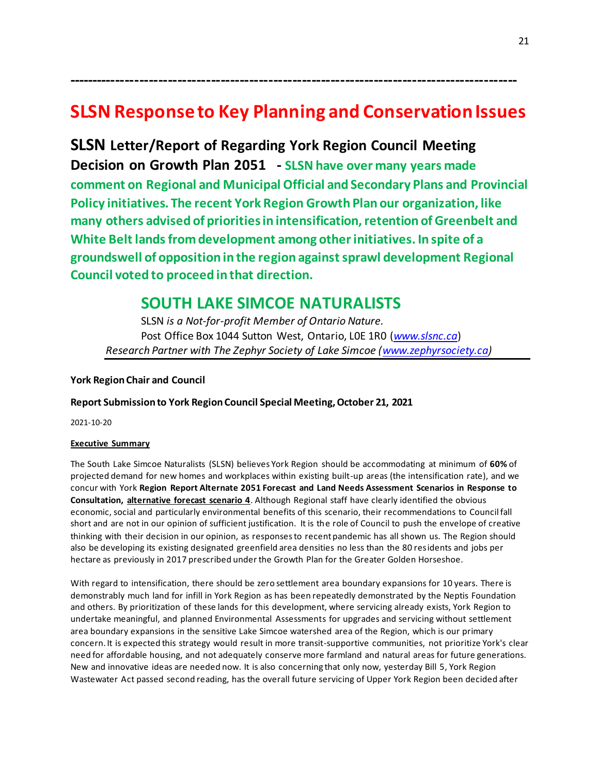## **SLSN Response to Key Planning and Conservation Issues**

**----------------------------------------------------------------------------------------------**

**SLSN Letter/Report of Regarding York Region Council Meeting Decision on Growth Plan 2051 - SLSN have over many years made comment on Regional and Municipal Official and Secondary Plans and Provincial Policy initiatives. The recent York Region Growth Plan our organization, like many others advised of priorities in intensification, retention of Greenbelt and White Belt lands from development among other initiatives. In spite of a groundswell of opposition in the region against sprawl development Regional Council voted to proceed in that direction.** 

### **SOUTH LAKE SIMCOE NATURALISTS**

SLSN *is a Not-for-profit Member of Ontario Nature.* Post Office Box 1044 Sutton West, Ontario, L0E 1R0 (*[www.slsnc.ca](http://www.slsnc.ca/)*) *Research Partner with The Zephyr Society of Lake Simcoe [\(www.zephyrsociety.ca\)](http://www.zephyrsociety.ca/)*

### **York Region Chair and Council**

#### **Report Submission to York Region Council Special Meeting, October 21, 2021**

2021-10-20

#### **Executive Summary**

The South Lake Simcoe Naturalists (SLSN) believes York Region should be accommodating at minimum of **60%** of projected demand for new homes and workplaces within existing built-up areas (the intensification rate), and we concur with York **Region Report Alternate 2051 Forecast and Land Needs Assessment Scenarios in Response to Consultation, alternative forecast scenario 4**. Although Regional staff have clearly identified the obvious economic, social and particularly environmental benefits of this scenario, their recommendations to Council fall short and are not in our opinion of sufficient justification. It is the role of Council to push the envelope of creative thinking with their decision in our opinion, as responses to recent pandemic has all shown us. The Region should also be developing its existing designated greenfield area densities no less than the 80 residents and jobs per hectare as previously in 2017 prescribed under the Growth Plan for the Greater Golden Horseshoe.

With regard to intensification, there should be zero settlement area boundary expansions for 10 years. There is demonstrably much land for infill in York Region as has been repeatedly demonstrated by the Neptis Foundation and others. By prioritization of these lands for this development, where servicing already exists, York Region to undertake meaningful, and planned Environmental Assessments for upgrades and servicing without settlement area boundary expansions in the sensitive Lake Simcoe watershed area of the Region, which is our primary concern. It is expected this strategy would result in more transit-supportive communities, not prioritize York's clear need for affordable housing, and not adequately conserve more farmland and natural areas for future generations. New and innovative ideas are needed now. It is also concerning that only now, yesterday Bill 5, York Region Wastewater Act passed second reading, has the overall future servicing of Upper York Region been decided after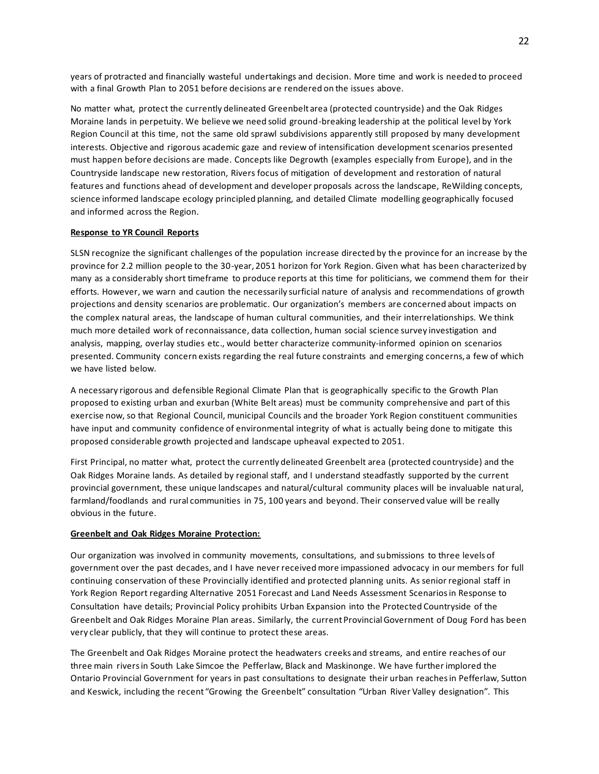years of protracted and financially wasteful undertakings and decision. More time and work is needed to proceed with a final Growth Plan to 2051 before decisions are rendered on the issues above.

No matter what, protect the currently delineated Greenbelt area (protected countryside) and the Oak Ridges Moraine lands in perpetuity. We believe we need solid ground-breaking leadership at the political level by York Region Council at this time, not the same old sprawl subdivisions apparently still proposed by many development interests. Objective and rigorous academic gaze and review of intensification development scenarios presented must happen before decisions are made. Concepts like Degrowth (examples especially from Europe), and in the Countryside landscape new restoration, Rivers focus of mitigation of development and restoration of natural features and functions ahead of development and developer proposals across the landscape, ReWilding concepts, science informed landscape ecology principled planning, and detailed Climate modelling geographically focused and informed across the Region.

#### **Response to YR Council Reports**

SLSN recognize the significant challenges of the population increase directed by the province for an increase by the province for 2.2 million people to the 30-year, 2051 horizon for York Region. Given what has been characterized by many as a considerably short timeframe to produce reports at this time for politicians, we commend them for their efforts. However, we warn and caution the necessarily surficial nature of analysis and recommendations of growth projections and density scenarios are problematic. Our organization's members are concerned about impacts on the complex natural areas, the landscape of human cultural communities, and their interrelationships. We think much more detailed work of reconnaissance, data collection, human social science survey investigation and analysis, mapping, overlay studies etc., would better characterize community-informed opinion on scenarios presented. Community concern exists regarding the real future constraints and emerging concerns, a few of which we have listed below.

A necessary rigorous and defensible Regional Climate Plan that is geographically specific to the Growth Plan proposed to existing urban and exurban (White Belt areas) must be community comprehensive and part of this exercise now, so that Regional Council, municipal Councils and the broader York Region constituent communities have input and community confidence of environmental integrity of what is actually being done to mitigate this proposed considerable growth projected and landscape upheaval expected to 2051.

First Principal, no matter what, protect the currently delineated Greenbelt area (protected countryside) and the Oak Ridges Moraine lands. As detailed by regional staff, and I understand steadfastly supported by the current provincial government, these unique landscapes and natural/cultural community places will be invaluable natural, farmland/foodlands and rural communities in 75, 100 years and beyond. Their conserved value will be really obvious in the future.

#### **Greenbelt and Oak Ridges Moraine Protection:**

Our organization was involved in community movements, consultations, and submissions to three levels of government over the past decades, and I have never received more impassioned advocacy in our members for full continuing conservation of these Provincially identified and protected planning units. As senior regional staff in York Region Report regarding Alternative 2051 Forecast and Land Needs Assessment Scenarios in Response to Consultation have details; Provincial Policy prohibits Urban Expansion into the Protected Countryside of the Greenbelt and Oak Ridges Moraine Plan areas. Similarly, the current Provincial Government of Doug Ford has been very clear publicly, that they will continue to protect these areas.

The Greenbelt and Oak Ridges Moraine protect the headwaters creeks and streams, and entire reaches of our three main rivers in South Lake Simcoe the Pefferlaw, Black and Maskinonge. We have further implored the Ontario Provincial Government for years in past consultations to designate their urban reaches in Pefferlaw, Sutton and Keswick, including the recent "Growing the Greenbelt" consultation "Urban River Valley designation". This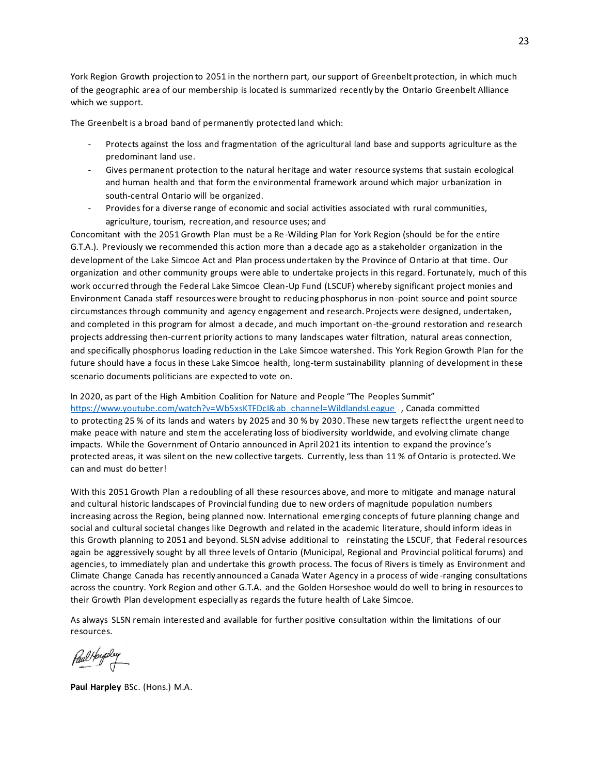York Region Growth projection to 2051 in the northern part, our support of Greenbelt protection, in which much of the geographic area of our membership is located is summarized recently by the Ontario Greenbelt Alliance which we support.

The Greenbelt is a broad band of permanently protected land which:

- Protects against the loss and fragmentation of the agricultural land base and supports agriculture as the predominant land use.
- Gives permanent protection to the natural heritage and water resource systems that sustain ecological and human health and that form the environmental framework around which major urbanization in south-central Ontario will be organized.
- Provides for a diverse range of economic and social activities associated with rural communities, agriculture, tourism, recreation, and resource uses; and

Concomitant with the 2051 Growth Plan must be a Re-Wilding Plan for York Region (should be for the entire G.T.A.). Previously we recommended this action more than a decade ago as a stakeholder organization in the development of the Lake Simcoe Act and Plan process undertaken by the Province of Ontario at that time. Our organization and other community groups were able to undertake projects in this regard. Fortunately, much of this work occurred through the Federal Lake Simcoe Clean-Up Fund (LSCUF) whereby significant project monies and Environment Canada staff resources were brought to reducing phosphorus in non-point source and point source circumstances through community and agency engagement and research. Projects were designed, undertaken, and completed in this program for almost a decade, and much important on-the-ground restoration and research projects addressing then-current priority actions to many landscapes water filtration, natural areas connection, and specifically phosphorus loading reduction in the Lake Simcoe watershed. This York Region Growth Plan for the future should have a focus in these Lake Simcoe health, long-term sustainability planning of development in these scenario documents politicians are expected to vote on.

In 2020, as part of the High Ambition Coalition for Nature and People "The Peoples Summit" [https://www.youtube.com/watch?v=Wb5xsKTFDcI&ab\\_channel=WildlandsLeague](https://www.youtube.com/watch?v=Wb5xsKTFDcI&ab_channel=WildlandsLeague) , Canada committed to protecting 25 [% of its lands and waters by 2025 and 30 % by 2030.](https://ontarionature.org/30-by-2030/) These new targets reflect the urgent need to make [peace with nature](https://www.unep.org/resources/making-peace-nature) and stem the [accelerating loss of biodiversity](https://ontarionature.org/its-up-to-us-now/) worldwide, and evolving climate change impacts. While the Government of Ontario announced in April 2021 its intention to [expand the province's](https://news.ontario.ca/en/release/60977/ontario-working-with-conservation-experts-to-protect-more-natural-areas)  [protected areas,](https://news.ontario.ca/en/release/60977/ontario-working-with-conservation-experts-to-protect-more-natural-areas) it was silent on the new collective targets. Currently, less than 11 % of Ontario is protected. We can and must do better!

With this 2051 Growth Plan a redoubling of all these resources above, and more to mitigate and manage natural and cultural historic landscapes of Provincial funding due to new orders of magnitude population numbers increasing across the Region, being planned now. International emerging concepts of future planning change and social and cultural societal changes like Degrowth and related in the academic literature, should inform ideas in this Growth planning to 2051 and beyond. SLSN advise additional to reinstating the LSCUF, that Federal resources again be aggressively sought by all three levels of Ontario (Municipal, Regional and Provincial political forums) and agencies, to immediately plan and undertake this growth process. The focus of Rivers is timely as Environment and Climate Change Canada has recently announced a Canada Water Agency in a process of wide -ranging consultations across the country. York Region and other G.T.A. and the Golden Horseshoe would do well to bring in resources to their Growth Plan development especially as regards the future health of Lake Simcoe.

As always SLSN remain interested and available for further positive consultation within the limitations of our resources.

Paul Houpley

**Paul Harpley** BSc. (Hons.) M.A.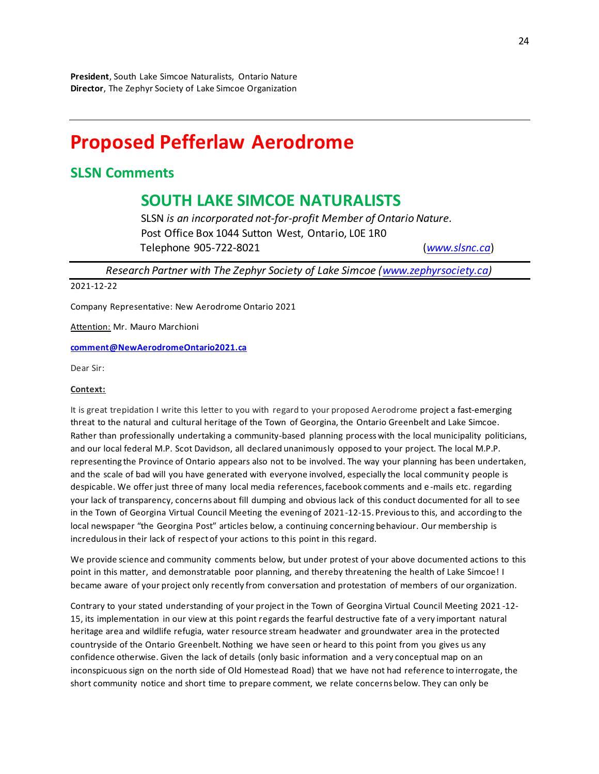## **Proposed Pefferlaw Aerodrome**

### **SLSN Comments**

## **SOUTH LAKE SIMCOE NATURALISTS**

SLSN *is an incorporated not-for-profit Member of Ontario Nature.* Post Office Box 1044 Sutton West, Ontario, L0E 1R0 Telephone 905-722-8021 (*[www.slsnc.ca](http://www.slsnc.ca/)*)

*Research Partner with The Zephyr Society of Lake Simcoe [\(www.zephyrsociety.ca\)](http://www.zephyrsociety.ca/)*

2021-12-22

Company Representative: New Aerodrome Ontario 2021

Attention: Mr. Mauro Marchioni

#### **[comment@NewAerodromeOntario2021.ca](mailto:comment@NewAerodromeOntario2021.ca)**

Dear Sir:

#### **Context:**

It is great trepidation I write this letter to you with regard to your proposed Aerodrome project a fast-emerging threat to the natural and cultural heritage of the Town of Georgina, the Ontario Greenbelt and Lake Simcoe. Rather than professionally undertaking a community-based planning process with the local municipality politicians, and our local federal M.P. Scot Davidson, all declared unanimously opposed to your project. The local M.P.P. representing the Province of Ontario appears also not to be involved. The way your planning has been undertaken, and the scale of bad will you have generated with everyone involved, especially the local community people is despicable. We offer just three of many local media references, facebook comments and e -mails etc. regarding your lack of transparency, concerns about fill dumping and obvious lack of this conduct documented for all to see in the Town of Georgina Virtual Council Meeting the evening of 2021-12-15. Previous to this, and according to the local newspaper "the Georgina Post" articles below, a continuing concerning behaviour. Our membership is incredulous in their lack of respect of your actions to this point in this regard.

We provide science and community comments below, but under protest of your above documented actions to this point in this matter, and demonstratable poor planning, and thereby threatening the health of Lake Simcoe! I became aware of your project only recently from conversation and protestation of members of our organization.

Contrary to your stated understanding of your project in the Town of Georgina Virtual Council Meeting 2021 -12- 15, its implementation in our view at this point regards the fearful destructive fate of a very important natural heritage area and wildlife refugia, water resource stream headwater and groundwater area in the protected countryside of the Ontario Greenbelt. Nothing we have seen or heard to this point from you gives us any confidence otherwise. Given the lack of details (only basic information and a very conceptual map on an inconspicuous sign on the north side of Old Homestead Road) that we have not had reference to interrogate, the short community notice and short time to prepare comment, we relate concerns below. They can only be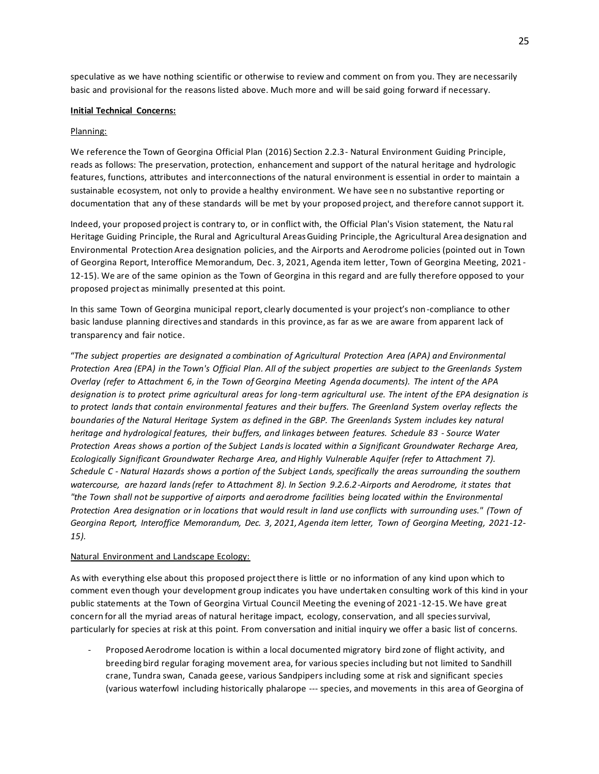speculative as we have nothing scientific or otherwise to review and comment on from you. They are necessarily basic and provisional for the reasons listed above. Much more and will be said going forward if necessary.

#### **Initial Technical Concerns:**

#### Planning:

We reference the Town of Georgina Official Plan (2016) Section 2.2.3- Natural Environment Guiding Principle, reads as follows: The preservation, protection, enhancement and support of the natural heritage and hydrologic features, functions, attributes and interconnections of the natural environment is essential in order to maintain a sustainable ecosystem, not only to provide a healthy environment. We have seen no substantive reporting or documentation that any of these standards will be met by your proposed project, and therefore cannot support it.

Indeed, your proposed project is contrary to, or in conflict with, the Official Plan's Vision statement, the Natu ral Heritage Guiding Principle, the Rural and Agricultural Areas Guiding Principle, the Agricultural Area designation and Environmental Protection Area designation policies, and the Airports and Aerodrome policies (pointed out in Town of Georgina Report, Interoffice Memorandum, Dec. 3, 2021, Agenda item letter, Town of Georgina Meeting, 2021 - 12-15). We are of the same opinion as the Town of Georgina in this regard and are fully therefore opposed to your proposed project as minimally presented at this point.

In this same Town of Georgina municipal report, clearly documented is your project's non-compliance to other basic landuse planning directives and standards in this province, as far as we are aware from apparent lack of transparency and fair notice.

"*The subject properties are designated a combination of Agricultural Protection Area (APA) and Environmental Protection Area (EPA) in the Town's Official Plan. All of the subject properties are subject to the Greenlands System Overlay (refer to Attachment 6, in the Town of Georgina Meeting Agenda documents). The intent of the APA designation is to protect prime agricultural areas for long-term agricultural use. The intent of the EPA designation is to protect lands that contain environmental features and their buffers. The Greenland System overlay reflects the boundaries of the Natural Heritage System as defined in the GBP. The Greenlands System includes key natural heritage and hydrological features, their buffers, and linkages between features. Schedule 83 - Source Water Protection Areas shows a portion of the Subject Lands is located within a Significant Groundwater Recharge Area, Ecologically Significant Groundwater Recharge Area, and Highly Vulnerable Aquifer (refer to Attachment 7). Schedule C - Natural Hazards shows a portion of the Subject Lands, specifically the areas surrounding the southern watercourse, are hazard lands (refer to Attachment 8). In Section 9.2.6.2-Airports and Aerodrome, it states that "the Town shall not be supportive of airports and aerodrome facilities being located within the Environmental Protection Area designation or in locations that would result in land use conflicts with surrounding uses." (Town of Georgina Report, Interoffice Memorandum, Dec. 3, 2021, Agenda item letter, Town of Georgina Meeting, 2021-12- 15).*

#### Natural Environment and Landscape Ecology:

As with everything else about this proposed project there is little or no information of any kind upon which to comment even though your development group indicates you have undertaken consulting work of this kind in your public statements at the Town of Georgina Virtual Council Meeting the evening of 2021 -12-15. We have great concern for all the myriad areas of natural heritage impact, ecology, conservation, and all species survival, particularly for species at risk at this point. From conversation and initial inquiry we offer a basic list of concerns.

Proposed Aerodrome location is within a local documented migratory bird zone of flight activity, and breeding bird regular foraging movement area, for various species including but not limited to Sandhill crane, Tundra swan, Canada geese, various Sandpipers including some at risk and significant species (various waterfowl including historically phalarope --- species, and movements in this area of Georgina of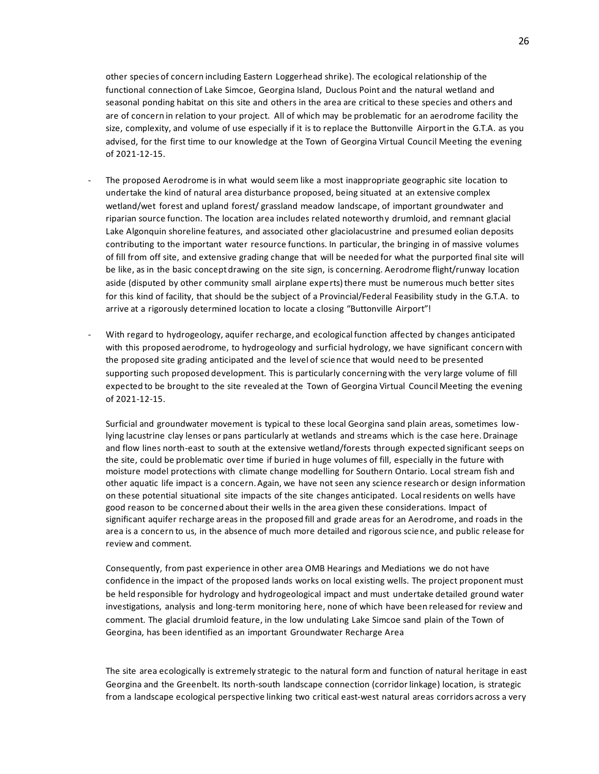other species of concern including Eastern Loggerhead shrike). The ecological relationship of the functional connection of Lake Simcoe, Georgina Island, Duclous Point and the natural wetland and seasonal ponding habitat on this site and others in the area are critical to these species and others and are of concern in relation to your project. All of which may be problematic for an aerodrome facility the size, complexity, and volume of use especially if it is to replace the Buttonville Airport in the G.T.A. as you advised, for the first time to our knowledge at the Town of Georgina Virtual Council Meeting the evening of 2021-12-15.

- The proposed Aerodrome is in what would seem like a most inappropriate geographic site location to undertake the kind of natural area disturbance proposed, being situated at an extensive complex wetland/wet forest and upland forest/ grassland meadow landscape, of important groundwater and riparian source function. The location area includes related noteworthy drumloid, and remnant glacial Lake Algonquin shoreline features, and associated other glaciolacustrine and presumed eolian deposits contributing to the important water resource functions. In particular, the bringing in of massive volumes of fill from off site, and extensive grading change that will be needed for what the purported final site will be like, as in the basic concept drawing on the site sign, is concerning. Aerodrome flight/runway location aside (disputed by other community small airplane experts) there must be numerous much better sites for this kind of facility, that should be the subject of a Provincial/Federal Feasibility study in the G.T.A. to arrive at a rigorously determined location to locate a closing "Buttonville Airport"!
- With regard to hydrogeology, aquifer recharge, and ecological function affected by changes anticipated with this proposed aerodrome, to hydrogeology and surficial hydrology, we have significant concern with the proposed site grading anticipated and the level of science that would need to be presented supporting such proposed development. This is particularly concerning with the very large volume of fill expected to be brought to the site revealed at the Town of Georgina Virtual Council Meeting the evening of 2021-12-15.

Surficial and groundwater movement is typical to these local Georgina sand plain areas, sometimes lowlying lacustrine clay lenses or pans particularly at wetlands and streams which is the case here. Drainage and flow lines north-east to south at the extensive wetland/forests through expected significant seeps on the site, could be problematic over time if buried in huge volumes of fill, especially in the future with moisture model protections with climate change modelling for Southern Ontario. Local stream fish and other aquatic life impact is a concern. Again, we have not seen any science research or design information on these potential situational site impacts of the site changes anticipated. Local residents on wells have good reason to be concerned about their wells in the area given these considerations. Impact of significant aquifer recharge areas in the proposed fill and grade areas for an Aerodrome, and roads in the area is a concern to us, in the absence of much more detailed and rigorous scie nce, and public release for review and comment.

Consequently, from past experience in other area OMB Hearings and Mediations we do not have confidence in the impact of the proposed lands works on local existing wells. The project proponent must be held responsible for hydrology and hydrogeological impact and must undertake detailed ground water investigations, analysis and long-term monitoring here, none of which have been released for review and comment. The glacial drumloid feature, in the low undulating Lake Simcoe sand plain of the Town of Georgina, has been identified as an important Groundwater Recharge Area

The site area ecologically is extremely strategic to the natural form and function of natural heritage in east Georgina and the Greenbelt. Its north-south landscape connection (corridor linkage) location, is strategic from a landscape ecological perspective linking two critical east-west natural areas corridors across a very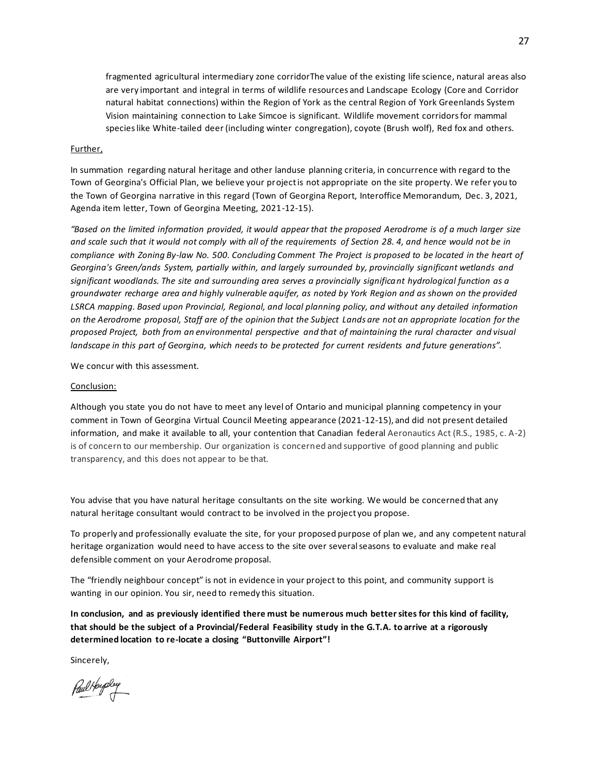fragmented agricultural intermediary zone corridorThe value of the existing life science, natural areas also are very important and integral in terms of wildlife resources and Landscape Ecology (Core and Corridor natural habitat connections) within the Region of York as the central Region of York Greenlands System Vision maintaining connection to Lake Simcoe is significant. Wildlife movement corridors for mammal species like White-tailed deer (including winter congregation), coyote (Brush wolf), Red fox and others.

#### Further,

In summation regarding natural heritage and other landuse planning criteria, in concurrence with regard to the Town of Georgina's Official Plan, we believe your project is not appropriate on the site property. We refer you to the Town of Georgina narrative in this regard (Town of Georgina Report, Interoffice Memorandum, Dec. 3, 2021, Agenda item letter, Town of Georgina Meeting, 2021-12-15).

*"Based on the limited information provided, it would appear that the proposed Aerodrome is of a much larger size and scale such that it would not comply with all of the requirements of Section 28. 4, and hence would not be in compliance with Zoning By-law No. 500. Concluding Comment The Project is proposed to be located in the heart of*  Georgina's Green/ands System, partially within, and largely surrounded by, provincially significant wetlands and *significant woodlands. The site and surrounding area serves a provincially significant hydrological function as a groundwater recharge area and highly vulnerable aquifer, as noted by York Region and as shown on the provided LSRCA mapping. Based upon Provincial, Regional, and local planning policy, and without any detailed information on the Aerodrome proposal, Staff are of the opinion that the Subject Lands are not an appropriate location for the proposed Project, both from an environmental perspective and that of maintaining the rural character and visual landscape in this part of Georgina, which needs to be protected for current residents and future generations".*

We concur with this assessment.

#### Conclusion:

Although you state you do not have to meet any level of Ontario and municipal planning competency in your comment in Town of Georgina Virtual Council Meeting appearance (2021-12-15), and did not present detailed information, and make it available to all, your contention that Canadian federal Aeronautics Act (R.S., 1985, c. A-2) is of concern to our membership. Our organization is concerned and supportive of good planning and public transparency, and this does not appear to be that.

You advise that you have natural heritage consultants on the site working. We would be concerned that any natural heritage consultant would contract to be involved in the project you propose.

To properly and professionally evaluate the site, for your proposed purpose of plan we, and any competent natural heritage organization would need to have access to the site over several seasons to evaluate and make real defensible comment on your Aerodrome proposal.

The "friendly neighbour concept" is not in evidence in your project to this point, and community support is wanting in our opinion. You sir, need to remedy this situation.

**In conclusion, and as previously identified there must be numerous much better sites for this kind of facility, that should be the subject of a Provincial/Federal Feasibility study in the G.T.A. to arrive at a rigorously determined location to re-locate a closing "Buttonville Airport"!**

Sincerely,

Paul Houpley